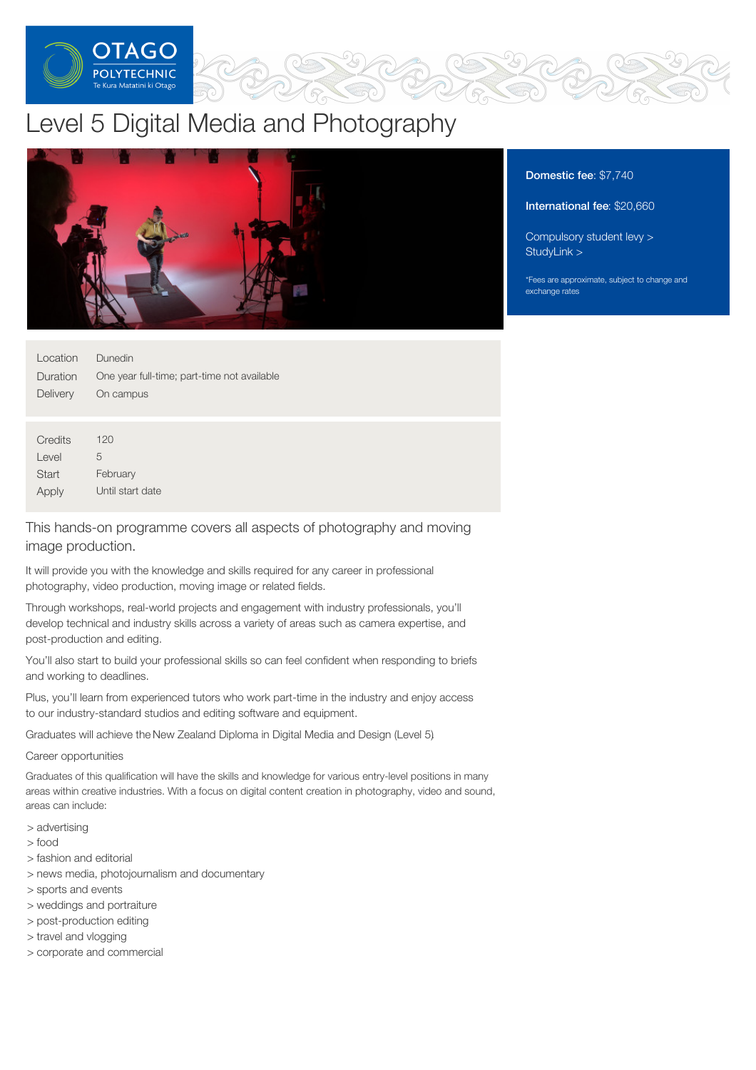

# Level 5 Digital Media and Photography



| Location | Dunedin                                     |
|----------|---------------------------------------------|
| Duration | One year full-time; part-time not available |
| Delivery | On campus                                   |
|          |                                             |
|          |                                             |
| Credits  | 120                                         |
| Level    | 5                                           |
| Start    | February                                    |

Until start date

This hands-on programme covers all aspects of photography and moving image production.

It will provide you with the knowledge and skills required for any career in professional photography, video production, moving image or related fields.

Through workshops, real-world projects and engagement with industry professionals, you'll develop technical and industry skills across a variety of areas such as camera expertise, and post-production and editing.

You'll also start to build your professional skills so can feel confident when responding to briefs and working to deadlines.

Plus, you'll learn from experienced tutors who work part-time in the industry and enjoy access to our industry-standard studios and editing software and equipment.

Graduates will achieve the New Zealand Diploma in Digital Media and Design (Level 5).

# Career opportunities

Graduates of this qualification will have the skills and knowledge for various entry-level positions in many areas within creative industries. With a focus on digital content creation in photography, video and sound, areas can include:

> advertising

Apply

- > food
- > fashion and editorial
- > news media, photojournalism and documentary
- > sports and events
- > weddings and portraiture
- > post-production editing
- > travel and vlogging
- > corporate and commercial

# Domestic fee: \$7,740

International fee: \$20,660

[Compulsory](https://online.op.ac.nz/students/important-information/student-services-levy/) student levy > [StudyLink](https://www.studylink.govt.nz/) >

\*Fees are approximate, subject to change and exchange rates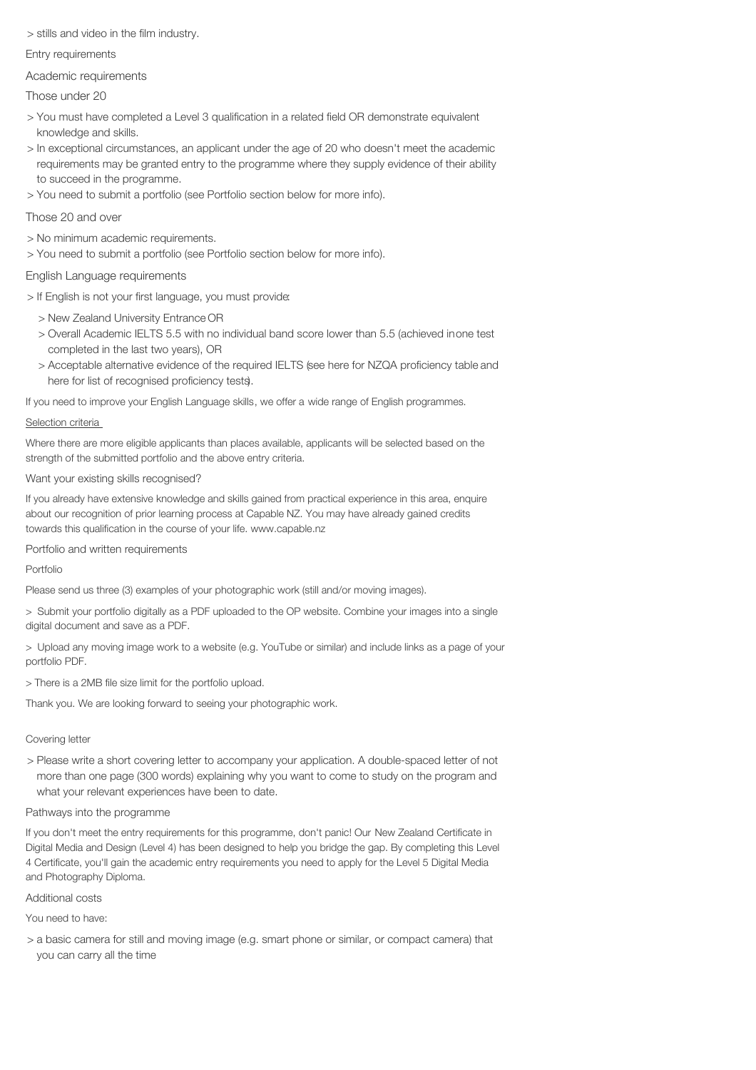> stills and video in the film industry.

Entry requirements

Academic requirements

# Those under 20

- > You must have completed a Level 3 qualification in a related field OR demonstrate equivalent knowledge and skills.
- > In exceptional circumstances, an applicant under the age of 20 who doesn't meet the academic requirements may be granted entry to the programme where they supply evidence of their ability to succeed in the programme.
- > You need to submit a portfolio (see Portfolio section below for more info).

# Those 20 and over

- > No minimum academic requirements.
- > You need to submit a portfolio (see Portfolio section below for more info).

# English Language requirements

- > If English is not your first language, you must provide:
	- > New Zealand University Entrance OR
	- > Overall Academic IELTS 5.5 with no individual band score lower than 5.5 (achieved inone test completed in the last two years), OR
	- > Acceptable alternative evidence of the required IELTS (see here for NZQA proficiency table and here for list of recognised proficiency tests).

If you need to improve your English Language skills, we offer a wide range of English programmes.

## Selection criteria

Where there are more eligible applicants than places available, applicants will be selected based on the strength of the submitted portfolio and the above entry criteria.

## Want your existing skills recognised?

If you already have extensive knowledge and skills gained from practical experience in this area, enquire about our recognition of prior learning process at Capable NZ. You may have already gained credits towards this qualification in the course of your life. www.capable.nz

Portfolio and written requirements

## Portfolio

Please send us three (3) examples of your photographic work (still and/or moving images).

> Submit your portfolio digitally as a PDF uploaded to the OP website. Combine your images into a single digital document and save as a PDF.

> Upload any moving image work to a website (e.g. YouTube or similar) and include links as a page of your portfolio PDF.

> There is a 2MB file size limit for the portfolio upload.

Thank you. We are looking forward to seeing your photographic work.

# Covering letter

> Please write a short covering letter to accompany your application. A double-spaced letter of not more than one page (300 words) explaining why you want to come to study on the program and what your relevant experiences have been to date.

## Pathways into the programme

If you don't meet the entry requirements for this programme, don't panic! Our New Zealand Certificate in Digital Media and Design (Level 4) has been designed to help you bridge the gap. By completing this Level 4 Certificate, you'll gain the academic entry requirements you need to apply for the Level 5 Digital Media and Photography Diploma.

## Additional costs

You need to have:

> a basic camera for still and moving image (e.g. smart phone or similar, or compact camera) that you can carry all the time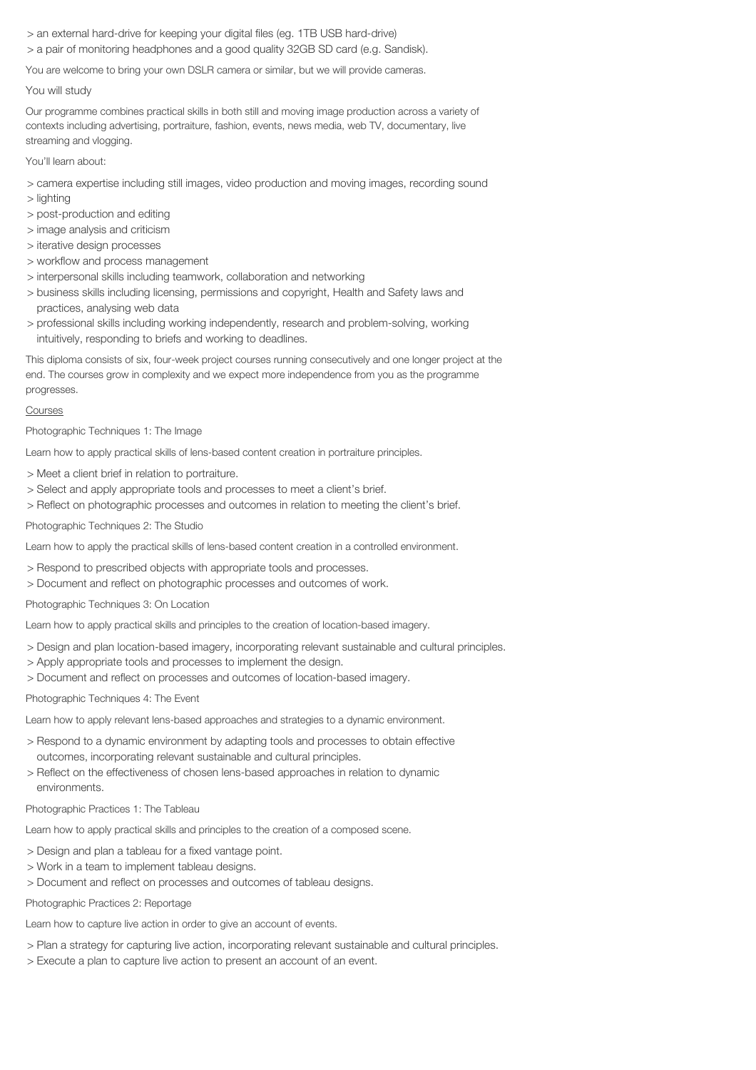- > an external hard-drive for keeping your digital files (eg. 1TB USB hard-drive)
- > a pair of monitoring headphones and a good quality 32GB SD card (e.g. Sandisk).

You are welcome to bring your own DSLR camera or similar, but we will provide cameras.

#### You will study

Our programme combines practical skills in both still and moving image production across a variety of contexts including advertising, portraiture, fashion, events, news media, web TV, documentary, live streaming and vlogging.

You'll learn about:

- > camera expertise including still images, video production and moving images, recording sound
- > lighting
- > post-production and editing
- > image analysis and criticism
- > iterative design processes
- > workflow and process management
- > interpersonal skills including teamwork, collaboration and networking
- > business skills including licensing, permissions and copyright, Health and Safety laws and practices, analysing web data
- > professional skills including working independently, research and problem-solving, working intuitively, responding to briefs and working to deadlines.

This diploma consists of six, four-week project courses running consecutively and one longer project at the end. The courses grow in complexity and we expect more independence from you as the programme progresses.

#### Courses

Photographic Techniques 1: The Image

Learn how to apply practical skills of lens-based content creation in portraiture principles.

- > Meet a client brief in relation to portraiture.
- > Select and apply appropriate tools and processes to meet a client's brief.
- > Reflect on photographic processes and outcomes in relation to meeting the client's brief.

#### Photographic Techniques 2: The Studio

Learn how to apply the practical skills of lens-based content creation in a controlled environment.

- > Respond to prescribed objects with appropriate tools and processes.
- > Document and reflect on photographic processes and outcomes of work.

Photographic Techniques 3: On Location

Learn how to apply practical skills and principles to the creation of location-based imagery.

- > Design and plan location-based imagery, incorporating relevant sustainable and cultural principles.
- > Apply appropriate tools and processes to implement the design.
- > Document and reflect on processes and outcomes of location-based imagery.

Photographic Techniques 4: The Event

Learn how to apply relevant lens-based approaches and strategies to a dynamic environment.

- > Respond to a dynamic environment by adapting tools and processes to obtain effective outcomes, incorporating relevant sustainable and cultural principles.
- > Reflect on the effectiveness of chosen lens-based approaches in relation to dynamic environments.

#### Photographic Practices 1: The Tableau

Learn how to apply practical skills and principles to the creation of a composed scene.

- > Design and plan a tableau for a fixed vantage point.
- > Work in a team to implement tableau designs.
- > Document and reflect on processes and outcomes of tableau designs.

#### Photographic Practices 2: Reportage

Learn how to capture live action in order to give an account of events.

- > Plan a strategy for capturing live action, incorporating relevant sustainable and cultural principles.
- > Execute a plan to capture live action to present an account of an event.